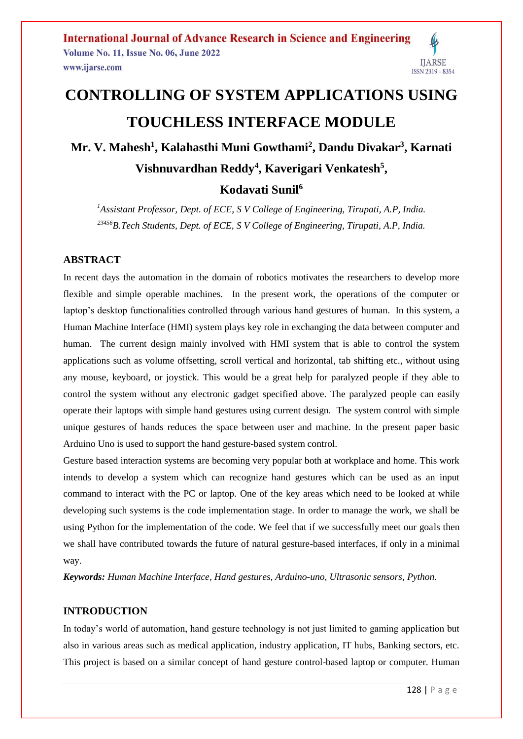# **CONTROLLING OF SYSTEM APPLICATIONS USING TOUCHLESS INTERFACE MODULE**

**Mr. V. Mahesh<sup>1</sup> , Kalahasthi Muni Gowthami<sup>2</sup> , Dandu Divakar<sup>3</sup> , Karnati Vishnuvardhan Reddy<sup>4</sup> , Kaverigari Venkatesh<sup>5</sup> ,** 

# **Kodavati Sunil<sup>6</sup>**

*<sup>1</sup>Assistant Professor, Dept. of ECE, S V College of Engineering, Tirupati, A.P, India. <sup>23456</sup>B.Tech Students, Dept. of ECE, S V College of Engineering, Tirupati, A.P, India.*

## **ABSTRACT**

In recent days the automation in the domain of robotics motivates the researchers to develop more flexible and simple operable machines. In the present work, the operations of the computer or laptop's desktop functionalities controlled through various hand gestures of human. In this system, a Human Machine Interface (HMI) system plays key role in exchanging the data between computer and human. The current design mainly involved with HMI system that is able to control the system applications such as volume offsetting, scroll vertical and horizontal, tab shifting etc., without using any mouse, keyboard, or joystick. This would be a great help for paralyzed people if they able to control the system without any electronic gadget specified above. The paralyzed people can easily operate their laptops with simple hand gestures using current design. The system control with simple unique gestures of hands reduces the space between user and machine. In the present paper basic Arduino Uno is used to support the hand gesture-based system control.

Gesture based interaction systems are becoming very popular both at workplace and home. This work intends to develop a system which can recognize hand gestures which can be used as an input command to interact with the PC or laptop. One of the key areas which need to be looked at while developing such systems is the code implementation stage. In order to manage the work, we shall be using Python for the implementation of the code. We feel that if we successfully meet our goals then we shall have contributed towards the future of natural gesture-based interfaces, if only in a minimal way.

*Keywords: Human Machine Interface, Hand gestures, Arduino-uno, Ultrasonic sensors, Python.*

#### **INTRODUCTION**

In today's world of automation, hand gesture technology is not just limited to gaming application but also in various areas such as medical application, industry application, IT hubs, Banking sectors, etc. This project is based on a similar concept of hand gesture control-based laptop or computer. Human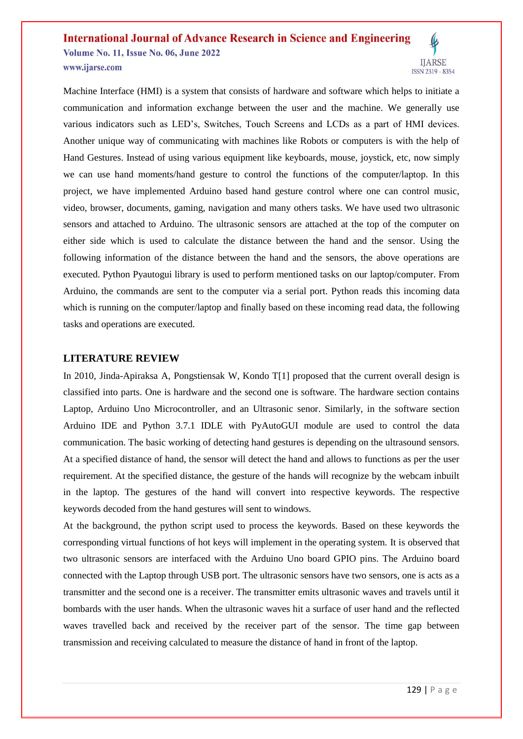Machine Interface (HMI) is a system that consists of hardware and software which helps to initiate a communication and information exchange between the user and the machine. We generally use various indicators such as LED's, Switches, Touch Screens and LCDs as a part of HMI devices. Another unique way of communicating with machines like Robots or computers is with the help of Hand Gestures. Instead of using various equipment like keyboards, mouse, joystick, etc, now simply we can use hand moments/hand gesture to control the functions of the computer/laptop. In this project, we have implemented Arduino based hand gesture control where one can control music, video, browser, documents, gaming, navigation and many others tasks. We have used two ultrasonic sensors and attached to Arduino. The ultrasonic sensors are attached at the top of the computer on either side which is used to calculate the distance between the hand and the sensor. Using the following information of the distance between the hand and the sensors, the above operations are executed. Python Pyautogui library is used to perform mentioned tasks on our laptop/computer. From Arduino, the commands are sent to the computer via a serial port. Python reads this incoming data which is running on the computer/laptop and finally based on these incoming read data, the following tasks and operations are executed.

#### **LITERATURE REVIEW**

In 2010, Jinda-Apiraksa A, Pongstiensak W, Kondo T[1] proposed that the current overall design is classified into parts. One is hardware and the second one is software. The hardware section contains Laptop, Arduino Uno Microcontroller, and an Ultrasonic senor. Similarly, in the software section Arduino IDE and Python 3.7.1 IDLE with PyAutoGUI module are used to control the data communication. The basic working of detecting hand gestures is depending on the ultrasound sensors. At a specified distance of hand, the sensor will detect the hand and allows to functions as per the user requirement. At the specified distance, the gesture of the hands will recognize by the webcam inbuilt in the laptop. The gestures of the hand will convert into respective keywords. The respective keywords decoded from the hand gestures will sent to windows.

At the background, the python script used to process the keywords. Based on these keywords the corresponding virtual functions of hot keys will implement in the operating system. It is observed that two ultrasonic sensors are interfaced with the Arduino Uno board GPIO pins. The Arduino board connected with the Laptop through USB port. The ultrasonic sensors have two sensors, one is acts as a transmitter and the second one is a receiver. The transmitter emits ultrasonic waves and travels until it bombards with the user hands. When the ultrasonic waves hit a surface of user hand and the reflected waves travelled back and received by the receiver part of the sensor. The time gap between transmission and receiving calculated to measure the distance of hand in front of the laptop.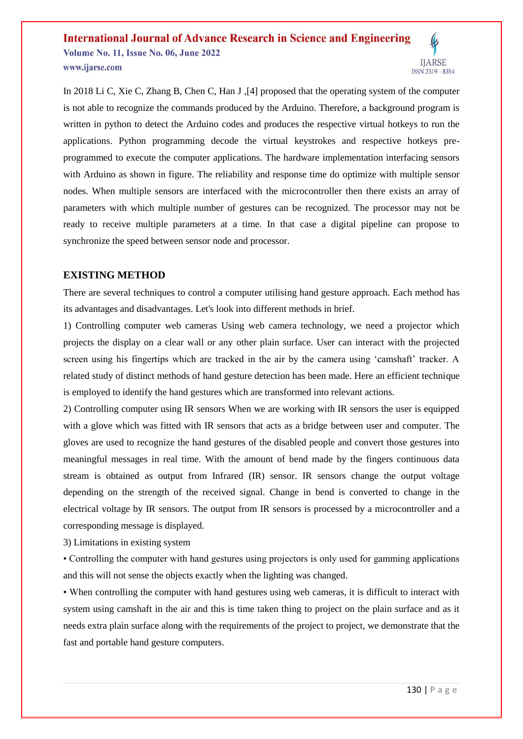In 2018 Li C, Xie C, Zhang B, Chen C, Han J ,[4] proposed that the operating system of the computer is not able to recognize the commands produced by the Arduino. Therefore, a background program is written in python to detect the Arduino codes and produces the respective virtual hotkeys to run the applications. Python programming decode the virtual keystrokes and respective hotkeys preprogrammed to execute the computer applications. The hardware implementation interfacing sensors with Arduino as shown in figure. The reliability and response time do optimize with multiple sensor nodes. When multiple sensors are interfaced with the microcontroller then there exists an array of parameters with which multiple number of gestures can be recognized. The processor may not be ready to receive multiple parameters at a time. In that case a digital pipeline can propose to synchronize the speed between sensor node and processor.

#### **EXISTING METHOD**

There are several techniques to control a computer utilising hand gesture approach. Each method has its advantages and disadvantages. Let's look into different methods in brief.

1) Controlling computer web cameras Using web camera technology, we need a projector which projects the display on a clear wall or any other plain surface. User can interact with the projected screen using his fingertips which are tracked in the air by the camera using 'camshaft' tracker. A related study of distinct methods of hand gesture detection has been made. Here an efficient technique is employed to identify the hand gestures which are transformed into relevant actions.

2) Controlling computer using IR sensors When we are working with IR sensors the user is equipped with a glove which was fitted with IR sensors that acts as a bridge between user and computer. The gloves are used to recognize the hand gestures of the disabled people and convert those gestures into meaningful messages in real time. With the amount of bend made by the fingers continuous data stream is obtained as output from Infrared (IR) sensor. IR sensors change the output voltage depending on the strength of the received signal. Change in bend is converted to change in the electrical voltage by IR sensors. The output from IR sensors is processed by a microcontroller and a corresponding message is displayed.

3) Limitations in existing system

• Controlling the computer with hand gestures using projectors is only used for gamming applications and this will not sense the objects exactly when the lighting was changed.

• When controlling the computer with hand gestures using web cameras, it is difficult to interact with system using camshaft in the air and this is time taken thing to project on the plain surface and as it needs extra plain surface along with the requirements of the project to project, we demonstrate that the fast and portable hand gesture computers.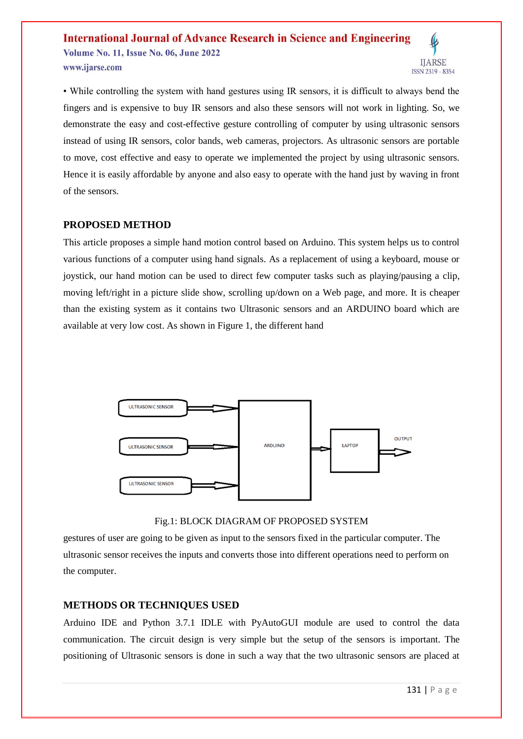

#### **PROPOSED METHOD**

This article proposes a simple hand motion control based on Arduino. This system helps us to control various functions of a computer using hand signals. As a replacement of using a keyboard, mouse or joystick, our hand motion can be used to direct few computer tasks such as playing/pausing a clip, moving left/right in a picture slide show, scrolling up/down on a Web page, and more. It is cheaper than the existing system as it contains two Ultrasonic sensors and an ARDUINO board which are available at very low cost. As shown in Figure 1, the different hand



Fig.1: BLOCK DIAGRAM OF PROPOSED SYSTEM

gestures of user are going to be given as input to the sensors fixed in the particular computer. The ultrasonic sensor receives the inputs and converts those into different operations need to perform on the computer.

## **METHODS OR TECHNIQUES USED**

Arduino IDE and Python 3.7.1 IDLE with PyAutoGUI module are used to control the data communication. The circuit design is very simple but the setup of the sensors is important. The positioning of Ultrasonic sensors is done in such a way that the two ultrasonic sensors are placed at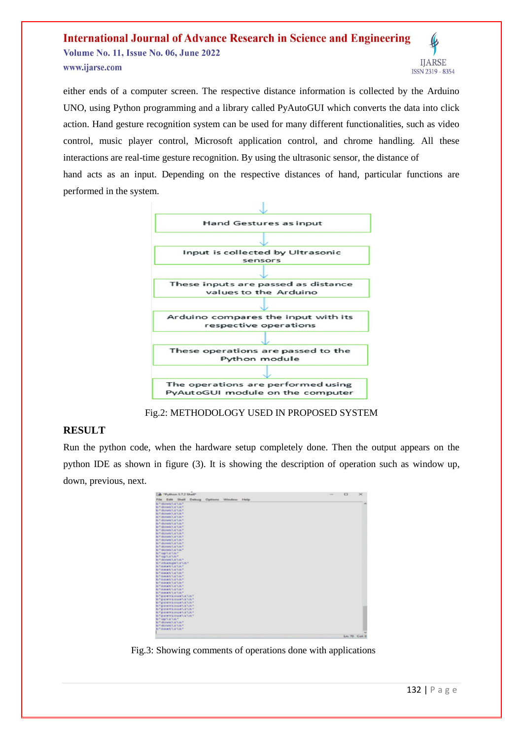

either ends of a computer screen. The respective distance information is collected by the Arduino UNO, using Python programming and a library called PyAutoGUI which converts the data into click action. Hand gesture recognition system can be used for many different functionalities, such as video control, music player control, Microsoft application control, and chrome handling. All these interactions are real-time gesture recognition. By using the ultrasonic sensor, the distance of hand acts as an input. Depending on the respective distances of hand, particular functions are performed in the system.



Fig.2: METHODOLOGY USED IN PROPOSED SYSTEM

#### **RESULT**

Run the python code, when the hardware setup completely done. Then the output appears on the python IDE as shown in figure (3). It is showing the description of operation such as window up, down, previous, next.



Fig.3: Showing comments of operations done with applications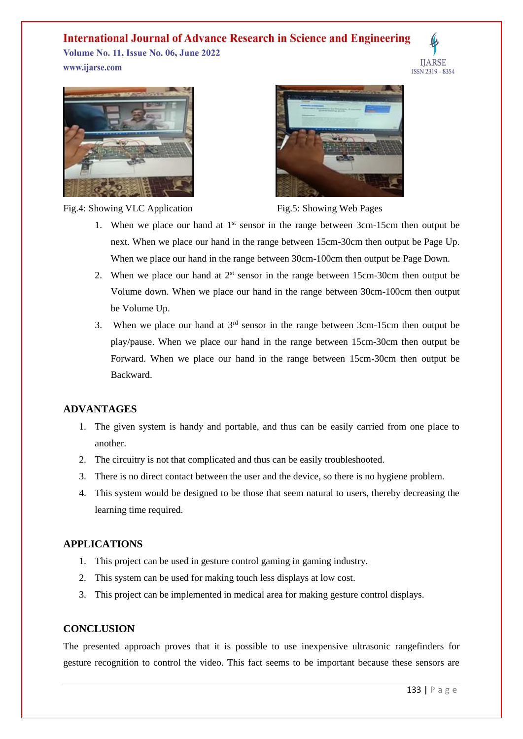# **International Journal of Advance Research in Science and Engineering**







Fig.4: Showing VLC Application Fig.5: Showing Web Pages



- 1. When we place our hand at  $1<sup>st</sup>$  sensor in the range between 3cm-15cm then output be next. When we place our hand in the range between 15cm-30cm then output be Page Up. When we place our hand in the range between 30cm-100cm then output be Page Down.
- 2. When we place our hand at  $2<sup>st</sup>$  sensor in the range between 15cm-30cm then output be Volume down. When we place our hand in the range between 30cm-100cm then output be Volume Up.
- 3. When we place our hand at  $3<sup>rd</sup>$  sensor in the range between 3cm-15cm then output be play/pause. When we place our hand in the range between 15cm-30cm then output be Forward. When we place our hand in the range between 15cm-30cm then output be Backward.

## **ADVANTAGES**

- 1. The given system is handy and portable, and thus can be easily carried from one place to another.
- 2. The circuitry is not that complicated and thus can be easily troubleshooted.
- 3. There is no direct contact between the user and the device, so there is no hygiene problem.
- 4. This system would be designed to be those that seem natural to users, thereby decreasing the learning time required.

## **APPLICATIONS**

- 1. This project can be used in gesture control gaming in gaming industry.
- 2. This system can be used for making touch less displays at low cost.
- 3. This project can be implemented in medical area for making gesture control displays.

## **CONCLUSION**

The presented approach proves that it is possible to use inexpensive ultrasonic rangefinders for gesture recognition to control the video. This fact seems to be important because these sensors are